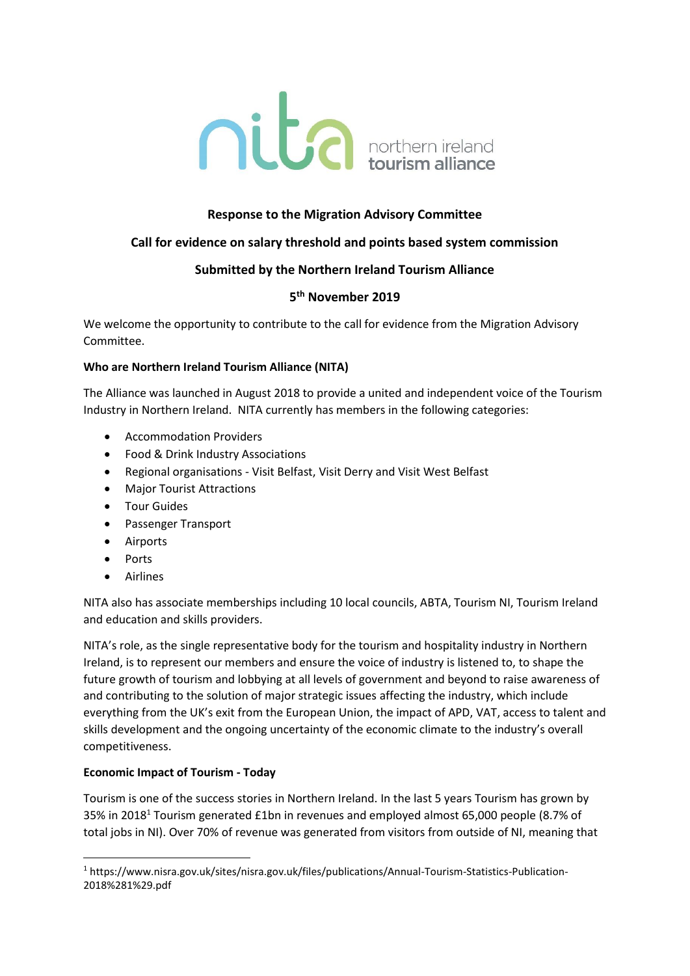

# **Response to the Migration Advisory Committee**

## **Call for evidence on salary threshold and points based system commission**

## **Submitted by the Northern Ireland Tourism Alliance**

# **5 th November 2019**

We welcome the opportunity to contribute to the call for evidence from the Migration Advisory Committee.

#### **Who are Northern Ireland Tourism Alliance (NITA)**

The Alliance was launched in August 2018 to provide a united and independent voice of the Tourism Industry in Northern Ireland. NITA currently has members in the following categories:

- Accommodation Providers
- Food & Drink Industry Associations
- Regional organisations Visit Belfast, Visit Derry and Visit West Belfast
- Major Tourist Attractions
- Tour Guides
- Passenger Transport
- Airports
- Ports
- Airlines

**.** 

NITA also has associate memberships including 10 local councils, ABTA, Tourism NI, Tourism Ireland and education and skills providers.

NITA's role, as the single representative body for the tourism and hospitality industry in Northern Ireland, is to represent our members and ensure the voice of industry is listened to, to shape the future growth of tourism and lobbying at all levels of government and beyond to raise awareness of and contributing to the solution of major strategic issues affecting the industry, which include everything from the UK's exit from the European Union, the impact of APD, VAT, access to talent and skills development and the ongoing uncertainty of the economic climate to the industry's overall competitiveness.

## **Economic Impact of Tourism - Today**

Tourism is one of the success stories in Northern Ireland. In the last 5 years Tourism has grown by 35% in 2018<sup>1</sup> Tourism generated £1bn in revenues and employed almost 65,000 people (8.7% of total jobs in NI). Over 70% of revenue was generated from visitors from outside of NI, meaning that

<sup>1</sup> https://www.nisra.gov.uk/sites/nisra.gov.uk/files/publications/Annual-Tourism-Statistics-Publication-2018%281%29.pdf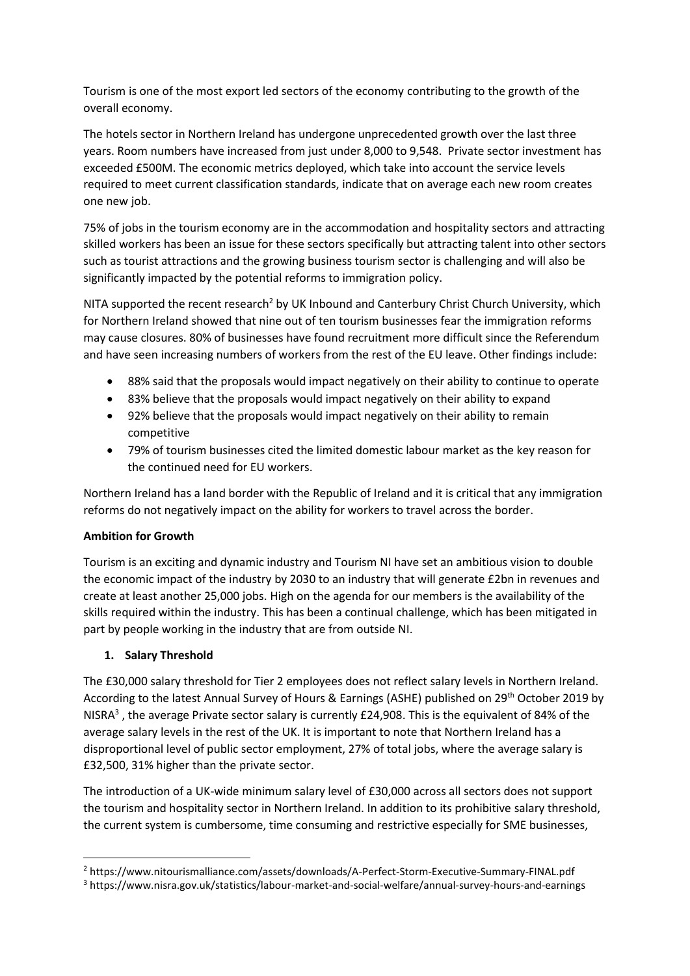Tourism is one of the most export led sectors of the economy contributing to the growth of the overall economy.

The hotels sector in Northern Ireland has undergone unprecedented growth over the last three years. Room numbers have increased from just under 8,000 to 9,548. Private sector investment has exceeded £500M. The economic metrics deployed, which take into account the service levels required to meet current classification standards, indicate that on average each new room creates one new job.

75% of jobs in the tourism economy are in the accommodation and hospitality sectors and attracting skilled workers has been an issue for these sectors specifically but attracting talent into other sectors such as tourist attractions and the growing business tourism sector is challenging and will also be significantly impacted by the potential reforms to immigration policy.

NITA supported the recent research<sup>2</sup> by UK Inbound and Canterbury Christ Church University, which for Northern Ireland showed that nine out of ten tourism businesses fear the immigration reforms may cause closures. 80% of businesses have found recruitment more difficult since the Referendum and have seen increasing numbers of workers from the rest of the EU leave. Other findings include:

- 88% said that the proposals would impact negatively on their ability to continue to operate
- 83% believe that the proposals would impact negatively on their ability to expand
- 92% believe that the proposals would impact negatively on their ability to remain competitive
- 79% of tourism businesses cited the limited domestic labour market as the key reason for the continued need for EU workers.

Northern Ireland has a land border with the Republic of Ireland and it is critical that any immigration reforms do not negatively impact on the ability for workers to travel across the border.

## **Ambition for Growth**

Tourism is an exciting and dynamic industry and Tourism NI have set an ambitious vision to double the economic impact of the industry by 2030 to an industry that will generate £2bn in revenues and create at least another 25,000 jobs. High on the agenda for our members is the availability of the skills required within the industry. This has been a continual challenge, which has been mitigated in part by people working in the industry that are from outside NI.

## **1. Salary Threshold**

**.** 

The £30,000 salary threshold for Tier 2 employees does not reflect salary levels in Northern Ireland. According to the latest Annual Survey of Hours & Earnings (ASHE) published on 29th October 2019 by NISRA<sup>3</sup>, the average Private sector salary is currently £24,908. This is the equivalent of 84% of the average salary levels in the rest of the UK. It is important to note that Northern Ireland has a disproportional level of public sector employment, 27% of total jobs, where the average salary is £32,500, 31% higher than the private sector.

The introduction of a UK-wide minimum salary level of £30,000 across all sectors does not support the tourism and hospitality sector in Northern Ireland. In addition to its prohibitive salary threshold, the current system is cumbersome, time consuming and restrictive especially for SME businesses,

<sup>2</sup> https://www.nitourismalliance.com/assets/downloads/A-Perfect-Storm-Executive-Summary-FINAL.pdf

<sup>3</sup> https://www.nisra.gov.uk/statistics/labour-market-and-social-welfare/annual-survey-hours-and-earnings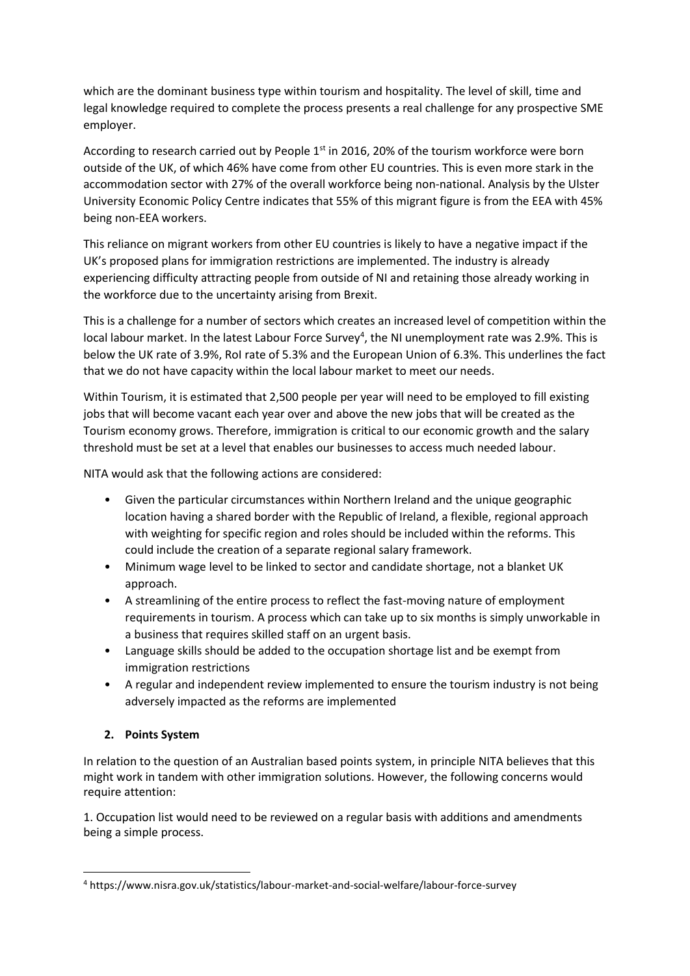which are the dominant business type within tourism and hospitality. The level of skill, time and legal knowledge required to complete the process presents a real challenge for any prospective SME employer.

According to research carried out by People  $1<sup>st</sup>$  in 2016, 20% of the tourism workforce were born outside of the UK, of which 46% have come from other EU countries. This is even more stark in the accommodation sector with 27% of the overall workforce being non-national. Analysis by the Ulster University Economic Policy Centre indicates that 55% of this migrant figure is from the EEA with 45% being non-EEA workers.

This reliance on migrant workers from other EU countries is likely to have a negative impact if the UK's proposed plans for immigration restrictions are implemented. The industry is already experiencing difficulty attracting people from outside of NI and retaining those already working in the workforce due to the uncertainty arising from Brexit.

This is a challenge for a number of sectors which creates an increased level of competition within the local labour market. In the latest Labour Force Survey<sup>4</sup>, the NI unemployment rate was 2.9%. This is below the UK rate of 3.9%, RoI rate of 5.3% and the European Union of 6.3%. This underlines the fact that we do not have capacity within the local labour market to meet our needs.

Within Tourism, it is estimated that 2,500 people per year will need to be employed to fill existing jobs that will become vacant each year over and above the new jobs that will be created as the Tourism economy grows. Therefore, immigration is critical to our economic growth and the salary threshold must be set at a level that enables our businesses to access much needed labour.

NITA would ask that the following actions are considered:

- Given the particular circumstances within Northern Ireland and the unique geographic location having a shared border with the Republic of Ireland, a flexible, regional approach with weighting for specific region and roles should be included within the reforms. This could include the creation of a separate regional salary framework.
- Minimum wage level to be linked to sector and candidate shortage, not a blanket UK approach.
- A streamlining of the entire process to reflect the fast-moving nature of employment requirements in tourism. A process which can take up to six months is simply unworkable in a business that requires skilled staff on an urgent basis.
- Language skills should be added to the occupation shortage list and be exempt from immigration restrictions
- A regular and independent review implemented to ensure the tourism industry is not being adversely impacted as the reforms are implemented

## **2. Points System**

In relation to the question of an Australian based points system, in principle NITA believes that this might work in tandem with other immigration solutions. However, the following concerns would require attention:

1. Occupation list would need to be reviewed on a regular basis with additions and amendments being a simple process.

**<sup>.</sup>** <sup>4</sup> https://www.nisra.gov.uk/statistics/labour-market-and-social-welfare/labour-force-survey